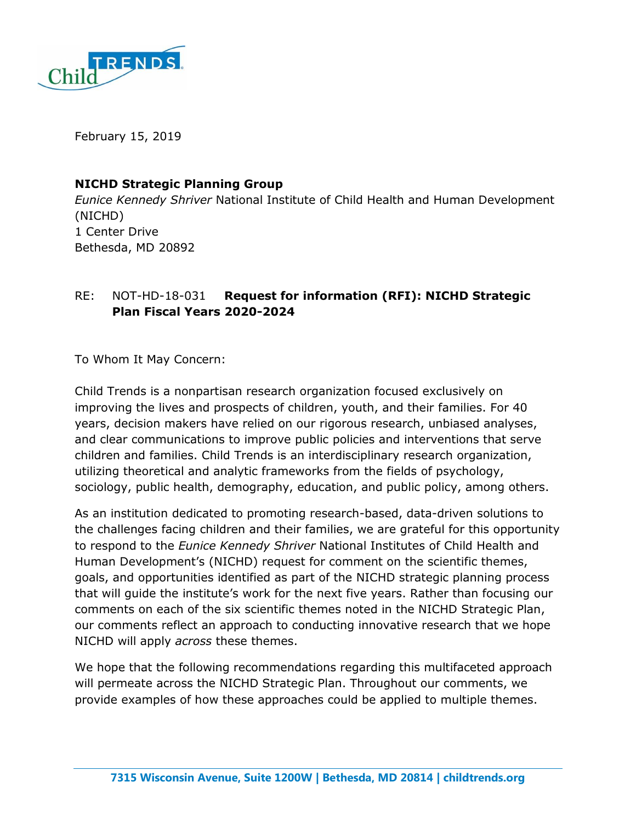

February 15, 2019

### **NICHD Strategic Planning Group**

*Eunice Kennedy Shriver* National Institute of Child Health and Human Development (NICHD) 1 Center Drive Bethesda, MD 20892

# RE: NOT-HD-18-031 **Request for information (RFI): NICHD Strategic Plan Fiscal Years 2020-2024**

To Whom It May Concern:

Child Trends is a nonpartisan research organization focused exclusively on improving the lives and prospects of children, youth, and their families. For 40 years, decision makers have relied on our rigorous research, unbiased analyses, and clear communications to improve public policies and interventions that serve children and families. Child Trends is an interdisciplinary research organization, utilizing theoretical and analytic frameworks from the fields of psychology, sociology, public health, demography, education, and public policy, among others.

As an institution dedicated to promoting research-based, data-driven solutions to the challenges facing children and their families, we are grateful for this opportunity to respond to the *Eunice Kennedy Shriver* National Institutes of Child Health and Human Development's (NICHD) request for comment on the scientific themes, goals, and opportunities identified as part of the NICHD strategic planning process that will guide the institute's work for the next five years. Rather than focusing our comments on each of the six scientific themes noted in the NICHD Strategic Plan, our comments reflect an approach to conducting innovative research that we hope NICHD will apply *across* these themes.

We hope that the following recommendations regarding this multifaceted approach will permeate across the NICHD Strategic Plan. Throughout our comments, we provide examples of how these approaches could be applied to multiple themes.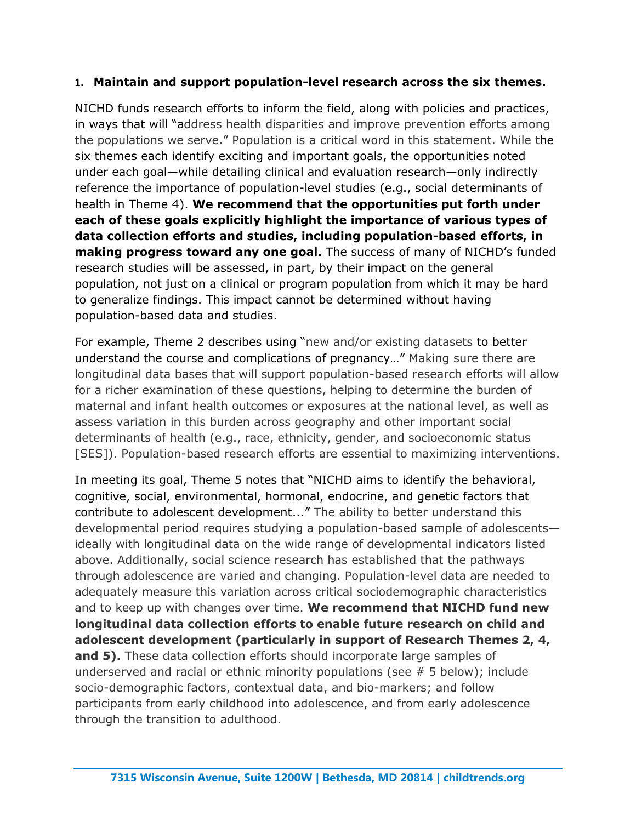## **1. Maintain and support population-level research across the six themes.**

NICHD funds research efforts to inform the field, along with policies and practices, in ways that will "address health disparities and improve prevention efforts among the populations we serve." Population is a critical word in this statement. While the six themes each identify exciting and important goals, the opportunities noted under each goal—while detailing clinical and evaluation research—only indirectly reference the importance of population-level studies (e.g., social determinants of health in Theme 4). **We recommend that the opportunities put forth under each of these goals explicitly highlight the importance of various types of data collection efforts and studies, including population-based efforts, in making progress toward any one goal.** The success of many of NICHD's funded research studies will be assessed, in part, by their impact on the general population, not just on a clinical or program population from which it may be hard to generalize findings. This impact cannot be determined without having population-based data and studies.

For example, Theme 2 describes using "new and/or existing datasets to better understand the course and complications of pregnancy…" Making sure there are longitudinal data bases that will support population-based research efforts will allow for a richer examination of these questions, helping to determine the burden of maternal and infant health outcomes or exposures at the national level, as well as assess variation in this burden across geography and other important social determinants of health (e.g., race, ethnicity, gender, and socioeconomic status [SES]). Population-based research efforts are essential to maximizing interventions.

In meeting its goal, Theme 5 notes that "NICHD aims to identify the behavioral, cognitive, social, environmental, hormonal, endocrine, and genetic factors that contribute to adolescent development..." The ability to better understand this developmental period requires studying a population-based sample of adolescents ideally with longitudinal data on the wide range of developmental indicators listed above. Additionally, social science research has established that the pathways through adolescence are varied and changing. Population-level data are needed to adequately measure this variation across critical sociodemographic characteristics and to keep up with changes over time. **We recommend that NICHD fund new longitudinal data collection efforts to enable future research on child and adolescent development (particularly in support of Research Themes 2, 4, and 5).** These data collection efforts should incorporate large samples of underserved and racial or ethnic minority populations (see # 5 below); include socio-demographic factors, contextual data, and bio-markers; and follow participants from early childhood into adolescence, and from early adolescence through the transition to adulthood.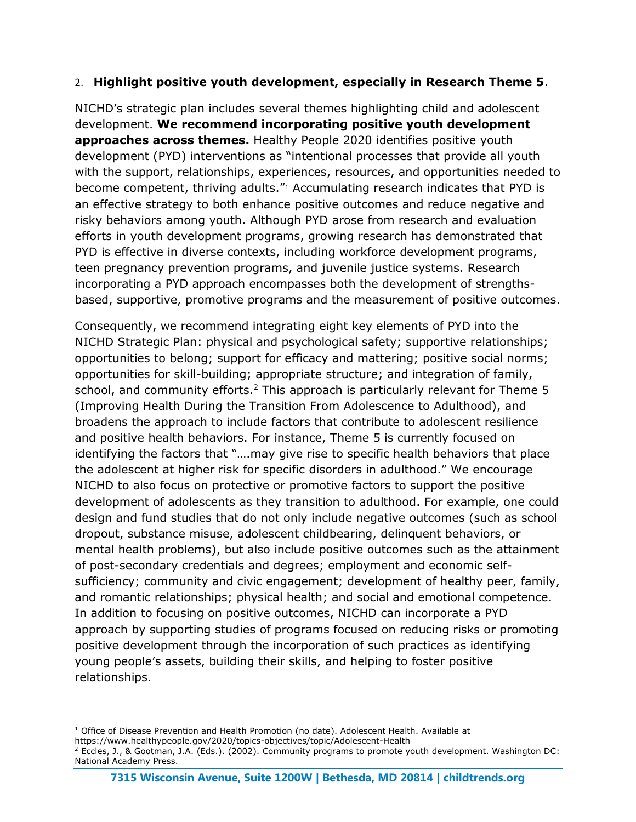## 2. **Highlight positive youth development, especially in Research Theme 5**.

NICHD's strategic plan includes several themes highlighting child and adolescent development. **We recommend incorporating positive youth development approaches across themes.** Healthy People 2020 identifies positive youth development (PYD) interventions as "intentional processes that provide all youth with the support, relationships, experiences, resources, and opportunities needed to become competent, thriving adults."<sup>1</sup> Accumulating research indicates that PYD is an effective strategy to both enhance positive outcomes and reduce negative and risky behaviors among youth. Although PYD arose from research and evaluation efforts in youth development programs, growing research has demonstrated that PYD is effective in diverse contexts, including workforce development programs, teen pregnancy prevention programs, and juvenile justice systems. Research incorporating a PYD approach encompasses both the development of strengthsbased, supportive, promotive programs and the measurement of positive outcomes.

Consequently, we recommend integrating eight key elements of PYD into the NICHD Strategic Plan: physical and psychological safety; supportive relationships; opportunities to belong; support for efficacy and mattering; positive social norms; opportunities for skill-building; appropriate structure; and integration of family, school, and community efforts.<sup>2</sup> This approach is particularly relevant for Theme 5 (Improving Health During the Transition From Adolescence to Adulthood), and broadens the approach to include factors that contribute to adolescent resilience and positive health behaviors. For instance, Theme 5 is currently focused on identifying the factors that "….may give rise to specific health behaviors that place the adolescent at higher risk for specific disorders in adulthood." We encourage NICHD to also focus on protective or promotive factors to support the positive development of adolescents as they transition to adulthood. For example, one could design and fund studies that do not only include negative outcomes (such as school dropout, substance misuse, adolescent childbearing, delinquent behaviors, or mental health problems), but also include positive outcomes such as the attainment of post-secondary credentials and degrees; employment and economic selfsufficiency; community and civic engagement; development of healthy peer, family, and romantic relationships; physical health; and social and emotional competence. In addition to focusing on positive outcomes, NICHD can incorporate a PYD approach by supporting studies of programs focused on reducing risks or promoting positive development through the incorporation of such practices as identifying young people's assets, building their skills, and helping to foster positive relationships.

-

<sup>&</sup>lt;sup>1</sup> Office of Disease Prevention and Health Promotion (no date). Adolescent Health. Available at https://www.healthypeople.gov/2020/topics-objectives/topic/Adolescent-Health

<sup>2</sup> Eccles, J., & Gootman, J.A. (Eds.). (2002). Community programs to promote youth development. Washington DC: National Academy Press.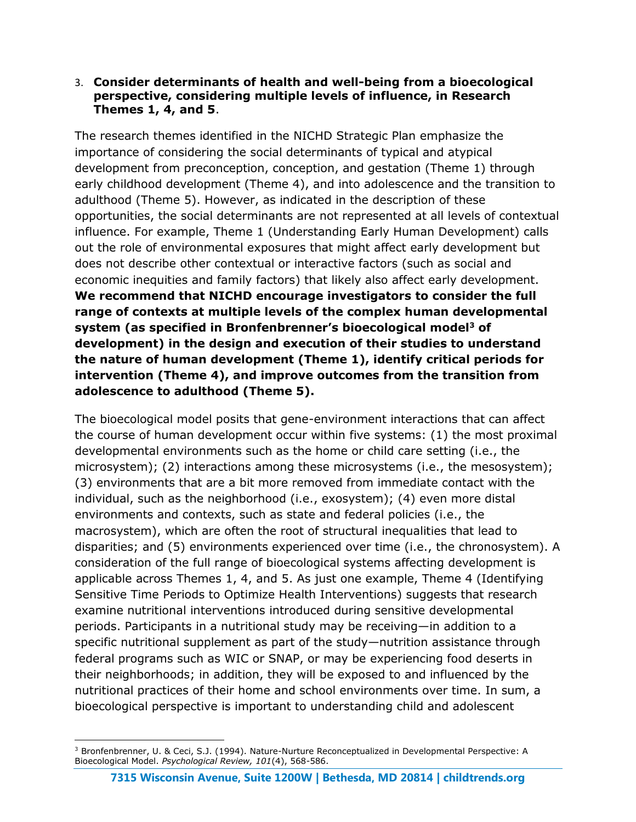### 3. **Consider determinants of health and well-being from a bioecological perspective, considering multiple levels of influence, in Research Themes 1, 4, and 5**.

The research themes identified in the NICHD Strategic Plan emphasize the importance of considering the social determinants of typical and atypical development from preconception, conception, and gestation (Theme 1) through early childhood development (Theme 4), and into adolescence and the transition to adulthood (Theme 5). However, as indicated in the description of these opportunities, the social determinants are not represented at all levels of contextual influence. For example, Theme 1 (Understanding Early Human Development) calls out the role of environmental exposures that might affect early development but does not describe other contextual or interactive factors (such as social and economic inequities and family factors) that likely also affect early development. **We recommend that NICHD encourage investigators to consider the full range of contexts at multiple levels of the complex human developmental system (as specified in Bronfenbrenner's bioecological model<sup>3</sup> of development) in the design and execution of their studies to understand the nature of human development (Theme 1), identify critical periods for intervention (Theme 4), and improve outcomes from the transition from adolescence to adulthood (Theme 5).**

The bioecological model posits that gene-environment interactions that can affect the course of human development occur within five systems: (1) the most proximal developmental environments such as the home or child care setting (i.e., the microsystem); (2) interactions among these microsystems (i.e., the mesosystem); (3) environments that are a bit more removed from immediate contact with the individual, such as the neighborhood (i.e., exosystem); (4) even more distal environments and contexts, such as state and federal policies (i.e., the macrosystem), which are often the root of structural inequalities that lead to disparities; and (5) environments experienced over time (i.e., the chronosystem). A consideration of the full range of bioecological systems affecting development is applicable across Themes 1, 4, and 5. As just one example, Theme 4 (Identifying Sensitive Time Periods to Optimize Health Interventions) suggests that research examine nutritional interventions introduced during sensitive developmental periods. Participants in a nutritional study may be receiving—in addition to a specific nutritional supplement as part of the study—nutrition assistance through federal programs such as WIC or SNAP, or may be experiencing food deserts in their neighborhoods; in addition, they will be exposed to and influenced by the nutritional practices of their home and school environments over time. In sum, a bioecological perspective is important to understanding child and adolescent

 $\overline{a}$ <sup>3</sup> Bronfenbrenner, U. & Ceci, S.J. (1994). Nature-Nurture Reconceptualized in Developmental Perspective: A Bioecological Model. *Psychological Review, 101*(4), 568-586.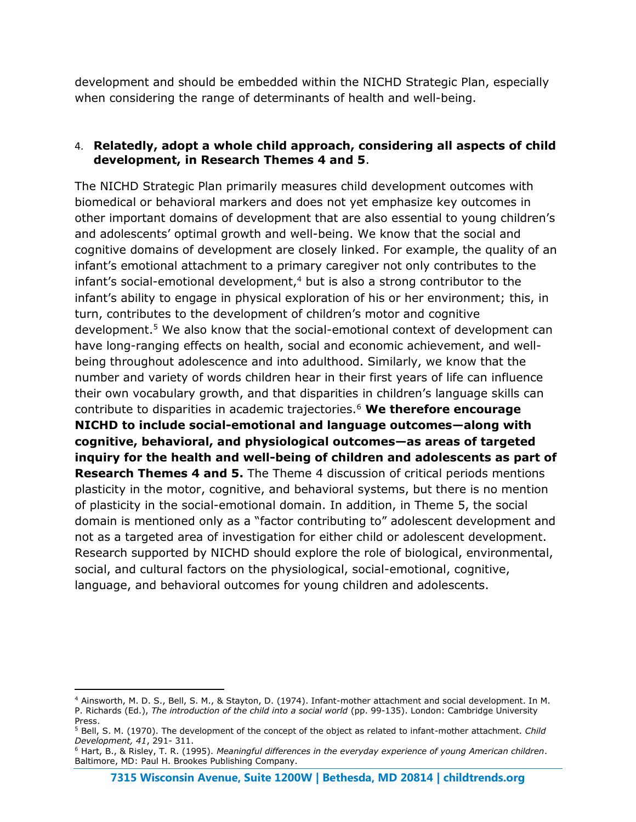development and should be embedded within the NICHD Strategic Plan, especially when considering the range of determinants of health and well-being.

## 4. **Relatedly, adopt a whole child approach, considering all aspects of child development, in Research Themes 4 and 5**.

The NICHD Strategic Plan primarily measures child development outcomes with biomedical or behavioral markers and does not yet emphasize key outcomes in other important domains of development that are also essential to young children's and adolescents' optimal growth and well-being. We know that the social and cognitive domains of development are closely linked. For example, the quality of an infant's emotional attachment to a primary caregiver not only contributes to the  $infant's$  social-emotional development, $4$  but is also a strong contributor to the infant's ability to engage in physical exploration of his or her environment; this, in turn, contributes to the development of children's motor and cognitive development.<sup>5</sup> We also know that the social-emotional context of development can have long-ranging effects on health, social and economic achievement, and wellbeing throughout adolescence and into adulthood. Similarly, we know that the number and variety of words children hear in their first years of life can influence their own vocabulary growth, and that disparities in children's language skills can contribute to disparities in academic trajectories.<sup>6</sup> **We therefore encourage NICHD to include social-emotional and language outcomes—along with cognitive, behavioral, and physiological outcomes—as areas of targeted inquiry for the health and well-being of children and adolescents as part of Research Themes 4 and 5.** The Theme 4 discussion of critical periods mentions plasticity in the motor, cognitive, and behavioral systems, but there is no mention of plasticity in the social-emotional domain. In addition, in Theme 5, the social domain is mentioned only as a "factor contributing to" adolescent development and not as a targeted area of investigation for either child or adolescent development. Research supported by NICHD should explore the role of biological, environmental, social, and cultural factors on the physiological, social-emotional, cognitive, language, and behavioral outcomes for young children and adolescents.

-

<sup>4</sup> Ainsworth, M. D. S., Bell, S. M., & Stayton, D. (1974). Infant-mother attachment and social development. In M. P. Richards (Ed.), *The introduction of the child into a social world* (pp. 99-135). London: Cambridge University Press.

<sup>5</sup> Bell, S. M. (1970). The development of the concept of the object as related to infant-mother attachment. *Child Development, 41*, 291- 311.

<sup>6</sup> Hart, B., & Risley, T. R. (1995). *Meaningful differences in the everyday experience of young American children*. Baltimore, MD: Paul H. Brookes Publishing Company.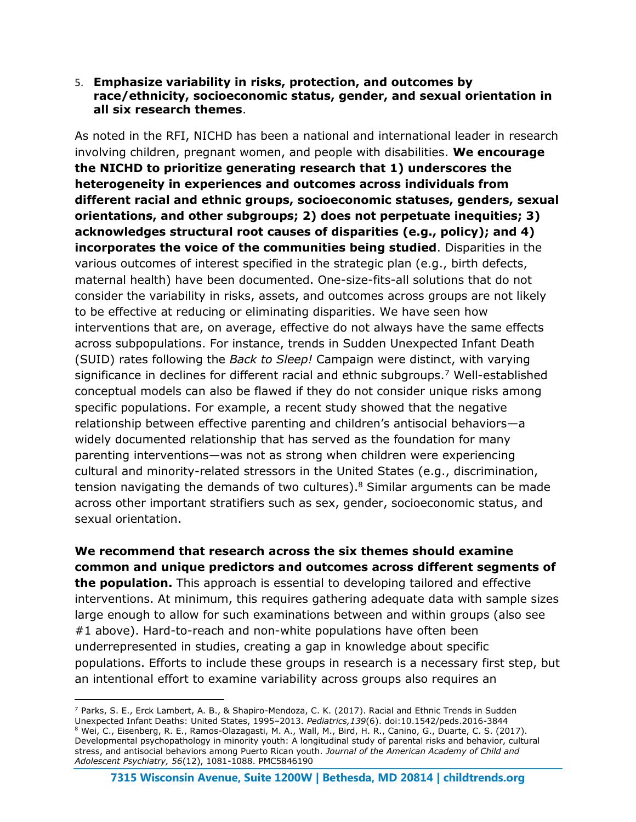#### 5. **Emphasize variability in risks, protection, and outcomes by race/ethnicity, socioeconomic status, gender, and sexual orientation in all six research themes**.

As noted in the RFI, NICHD has been a national and international leader in research involving children, pregnant women, and people with disabilities. **We encourage the NICHD to prioritize generating research that 1) underscores the heterogeneity in experiences and outcomes across individuals from different racial and ethnic groups, socioeconomic statuses, genders, sexual orientations, and other subgroups; 2) does not perpetuate inequities; 3) acknowledges structural root causes of disparities (e.g., policy); and 4) incorporates the voice of the communities being studied**. Disparities in the various outcomes of interest specified in the strategic plan (e.g., birth defects, maternal health) have been documented. One-size-fits-all solutions that do not consider the variability in risks, assets, and outcomes across groups are not likely to be effective at reducing or eliminating disparities. We have seen how interventions that are, on average, effective do not always have the same effects across subpopulations. For instance, trends in Sudden Unexpected Infant Death (SUID) rates following the *Back to Sleep!* Campaign were distinct, with varying significance in declines for different racial and ethnic subgroups.<sup>7</sup> Well-established conceptual models can also be flawed if they do not consider unique risks among specific populations. For example, a recent study showed that the negative relationship between effective parenting and children's antisocial behaviors—a widely documented relationship that has served as the foundation for many parenting interventions—was not as strong when children were experiencing cultural and minority-related stressors in the United States (e.g., discrimination, tension navigating the demands of two cultures).<sup>8</sup> Similar arguments can be made across other important stratifiers such as sex, gender, socioeconomic status, and sexual orientation.

**We recommend that research across the six themes should examine common and unique predictors and outcomes across different segments of the population.** This approach is essential to developing tailored and effective interventions. At minimum, this requires gathering adequate data with sample sizes large enough to allow for such examinations between and within groups (also see #1 above). Hard-to-reach and non-white populations have often been underrepresented in studies, creating a gap in knowledge about specific populations. Efforts to include these groups in research is a necessary first step, but an intentional effort to examine variability across groups also requires an

 $\overline{a}$ 

<sup>&</sup>lt;sup>7</sup> Parks, S. E., Erck Lambert, A. B., & Shapiro-Mendoza, C. K. (2017). Racial and Ethnic Trends in Sudden Unexpected Infant Deaths: United States, 1995–2013. *Pediatrics,139*(6). doi:10.1542/peds.2016-3844 <sup>8</sup> Wei, C., Eisenberg, R. E., Ramos-Olazagasti, M. A., Wall, M., Bird, H. R., Canino, G., Duarte, C. S. (2017). Developmental psychopathology in minority youth: A longitudinal study of parental risks and behavior, cultural stress, and antisocial behaviors among Puerto Rican youth. *Journal of the American Academy of Child and Adolescent Psychiatry, 56*(12), 1081-1088. PMC5846190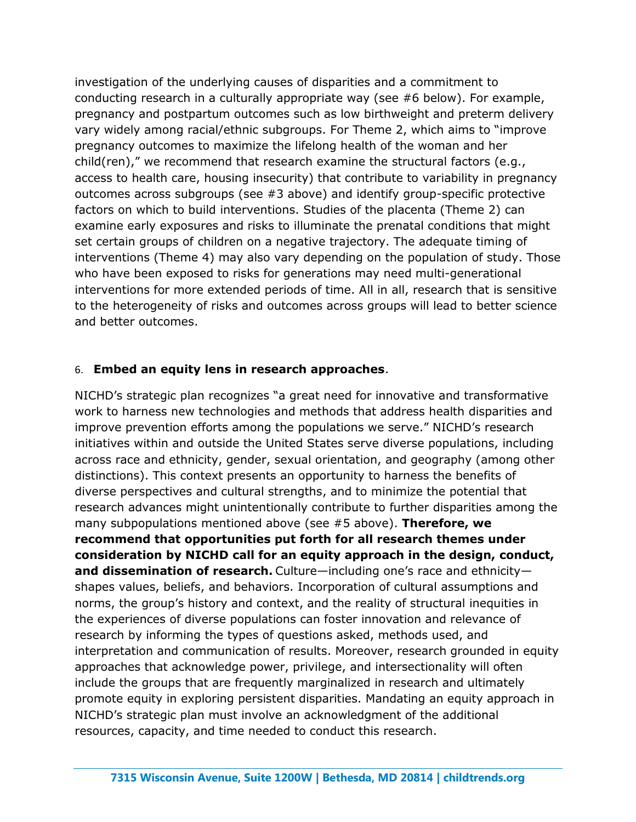investigation of the underlying causes of disparities and a commitment to conducting research in a culturally appropriate way (see #6 below). For example, pregnancy and postpartum outcomes such as low birthweight and preterm delivery vary widely among racial/ethnic subgroups. For Theme 2, which aims to "improve pregnancy outcomes to maximize the lifelong health of the woman and her child(ren)," we recommend that research examine the structural factors (e.g., access to health care, housing insecurity) that contribute to variability in pregnancy outcomes across subgroups (see #3 above) and identify group-specific protective factors on which to build interventions. Studies of the placenta (Theme 2) can examine early exposures and risks to illuminate the prenatal conditions that might set certain groups of children on a negative trajectory. The adequate timing of interventions (Theme 4) may also vary depending on the population of study. Those who have been exposed to risks for generations may need multi-generational interventions for more extended periods of time. All in all, research that is sensitive to the heterogeneity of risks and outcomes across groups will lead to better science and better outcomes.

## 6. **Embed an equity lens in research approaches**.

NICHD's strategic plan recognizes "a great need for innovative and transformative work to harness new technologies and methods that address health disparities and improve prevention efforts among the populations we serve." NICHD's research initiatives within and outside the United States serve diverse populations, including across race and ethnicity, gender, sexual orientation, and geography (among other distinctions). This context presents an opportunity to harness the benefits of diverse perspectives and cultural strengths, and to minimize the potential that research advances might unintentionally contribute to further disparities among the many subpopulations mentioned above (see #5 above). **Therefore, we recommend that opportunities put forth for all research themes under consideration by NICHD call for an equity approach in the design, conduct, and dissemination of research.** Culture—including one's race and ethnicity shapes values, beliefs, and behaviors. Incorporation of cultural assumptions and norms, the group's history and context, and the reality of structural inequities in the experiences of diverse populations can foster innovation and relevance of research by informing the types of questions asked, methods used, and interpretation and communication of results. Moreover, research grounded in equity approaches that acknowledge power, privilege, and intersectionality will often include the groups that are frequently marginalized in research and ultimately promote equity in exploring persistent disparities. Mandating an equity approach in NICHD's strategic plan must involve an acknowledgment of the additional resources, capacity, and time needed to conduct this research.